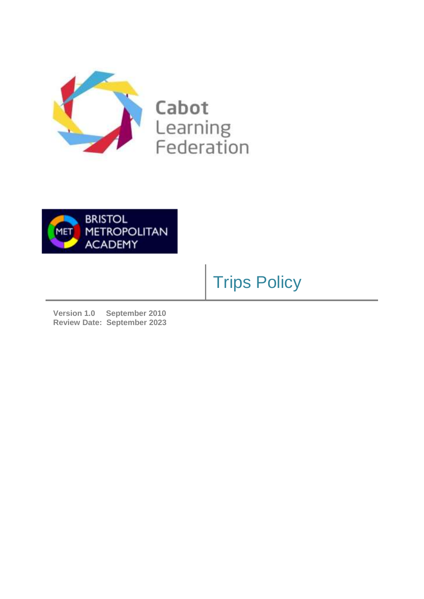

Cabot Learning<br>Federation



## Trips Policy

**Version 1.0 September 2010 Review Date: September 2023**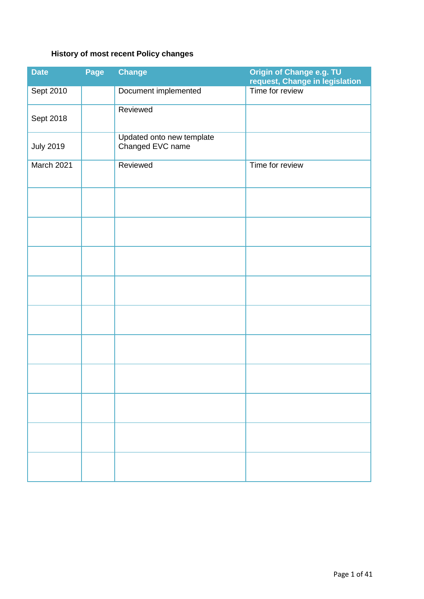## **History of most recent Policy changes**

| <b>Date</b>      | Page | <b>Change</b>                                 | Origin of Change e.g. TU<br>request, Change in legislation |
|------------------|------|-----------------------------------------------|------------------------------------------------------------|
| Sept 2010        |      | Document implemented                          | Time for review                                            |
| Sept 2018        |      | Reviewed                                      |                                                            |
| <b>July 2019</b> |      | Updated onto new template<br>Changed EVC name |                                                            |
| March 2021       |      | Reviewed                                      | Time for review                                            |
|                  |      |                                               |                                                            |
|                  |      |                                               |                                                            |
|                  |      |                                               |                                                            |
|                  |      |                                               |                                                            |
|                  |      |                                               |                                                            |
|                  |      |                                               |                                                            |
|                  |      |                                               |                                                            |
|                  |      |                                               |                                                            |
|                  |      |                                               |                                                            |
|                  |      |                                               |                                                            |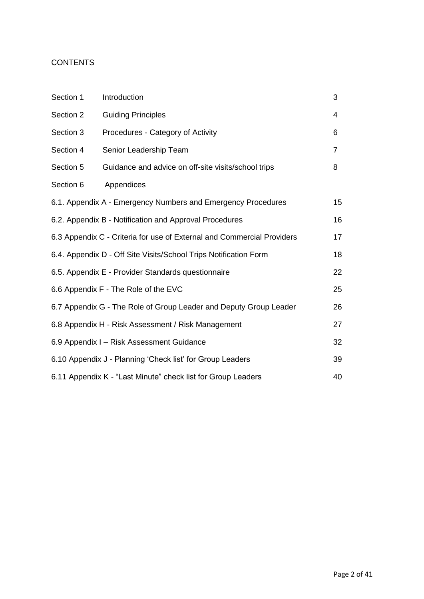### **CONTENTS**

| Section 1                                                        | Introduction                                                           | 3              |  |
|------------------------------------------------------------------|------------------------------------------------------------------------|----------------|--|
| Section 2                                                        | <b>Guiding Principles</b>                                              | 4              |  |
| Section 3                                                        | Procedures - Category of Activity                                      | 6              |  |
| Section 4                                                        | Senior Leadership Team                                                 | $\overline{7}$ |  |
| Section 5                                                        | Guidance and advice on off-site visits/school trips                    | 8              |  |
| Section 6                                                        | Appendices                                                             |                |  |
|                                                                  | 6.1. Appendix A - Emergency Numbers and Emergency Procedures           | 15             |  |
|                                                                  | 6.2. Appendix B - Notification and Approval Procedures                 | 16             |  |
|                                                                  | 6.3 Appendix C - Criteria for use of External and Commercial Providers | 17             |  |
| 6.4. Appendix D - Off Site Visits/School Trips Notification Form |                                                                        |                |  |
| 6.5. Appendix E - Provider Standards questionnaire               |                                                                        |                |  |
| 6.6 Appendix F - The Role of the EVC                             |                                                                        |                |  |
|                                                                  | 6.7 Appendix G - The Role of Group Leader and Deputy Group Leader      | 26             |  |
|                                                                  | 6.8 Appendix H - Risk Assessment / Risk Management                     | 27             |  |
| 32<br>6.9 Appendix I - Risk Assessment Guidance                  |                                                                        |                |  |
|                                                                  | 6.10 Appendix J - Planning 'Check list' for Group Leaders<br>39        |                |  |
| 6.11 Appendix K - "Last Minute" check list for Group Leaders     |                                                                        |                |  |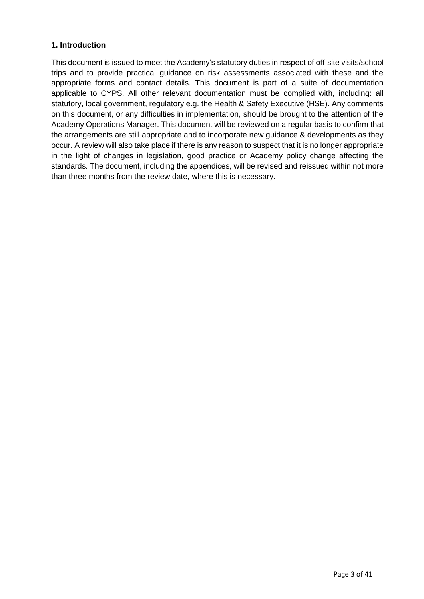#### **1. Introduction**

This document is issued to meet the Academy's statutory duties in respect of off-site visits/school trips and to provide practical guidance on risk assessments associated with these and the appropriate forms and contact details. This document is part of a suite of documentation applicable to CYPS. All other relevant documentation must be complied with, including: all statutory, local government, regulatory e.g. the Health & Safety Executive (HSE). Any comments on this document, or any difficulties in implementation, should be brought to the attention of the Academy Operations Manager. This document will be reviewed on a regular basis to confirm that the arrangements are still appropriate and to incorporate new guidance & developments as they occur. A review will also take place if there is any reason to suspect that it is no longer appropriate in the light of changes in legislation, good practice or Academy policy change affecting the standards. The document, including the appendices, will be revised and reissued within not more than three months from the review date, where this is necessary.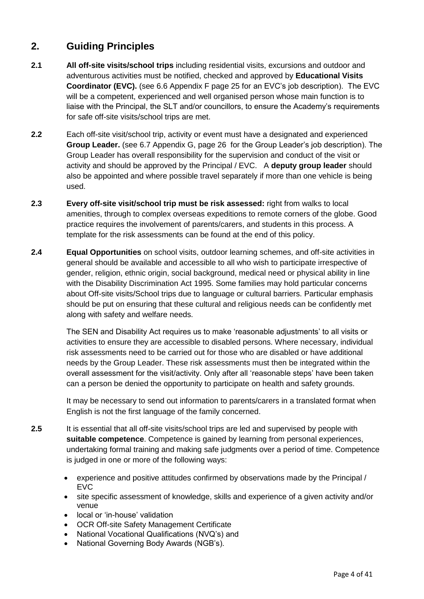## **2.** Guiding Principles

- **2.1 All off-site visits/school trips** including residential visits, excursions and outdoor and adventurous activities must be notified, checked and approved by **Educational Visits Coordinator (EVC).** (see 6.6 Appendix F page 25 for an EVC's job description). The EVC will be a competent, experienced and well organised person whose main function is to liaise with the Principal, the SLT and/or councillors, to ensure the Academy's requirements for safe off-site visits/school trips are met.
- **2.2** Each off-site visit/school trip, activity or event must have a designated and experienced **Group Leader.** (see 6.7 Appendix G, page 26 for the Group Leader's job description). The Group Leader has overall responsibility for the supervision and conduct of the visit or activity and should be approved by the Principal / EVC. A **deputy group leader** should also be appointed and where possible travel separately if more than one vehicle is being used.
- **2.3 Every off-site visit/school trip must be risk assessed:** right from walks to local amenities, through to complex overseas expeditions to remote corners of the globe. Good practice requires the involvement of parents/carers, and students in this process. A template for the risk assessments can be found at the end of this policy.
- **2.4 Equal Opportunities** on school visits, outdoor learning schemes, and off-site activities in general should be available and accessible to all who wish to participate irrespective of gender, religion, ethnic origin, social background, medical need or physical ability in line with the Disability Discrimination Act 1995. Some families may hold particular concerns about Off-site visits/School trips due to language or cultural barriers. Particular emphasis should be put on ensuring that these cultural and religious needs can be confidently met along with safety and welfare needs.

The SEN and Disability Act requires us to make 'reasonable adjustments' to all visits or activities to ensure they are accessible to disabled persons. Where necessary, individual risk assessments need to be carried out for those who are disabled or have additional needs by the Group Leader. These risk assessments must then be integrated within the overall assessment for the visit/activity. Only after all 'reasonable steps' have been taken can a person be denied the opportunity to participate on health and safety grounds.

It may be necessary to send out information to parents/carers in a translated format when English is not the first language of the family concerned.

- **2.5** It is essential that all off-site visits/school trips are led and supervised by people with **suitable competence**. Competence is gained by learning from personal experiences, undertaking formal training and making safe judgments over a period of time. Competence is judged in one or more of the following ways:
	- experience and positive attitudes confirmed by observations made by the Principal / EVC
	- site specific assessment of knowledge, skills and experience of a given activity and/or venue
	- local or 'in-house' validation
	- OCR Off-site Safety Management Certificate
	- National Vocational Qualifications (NVQ's) and
	- National Governing Body Awards (NGB's).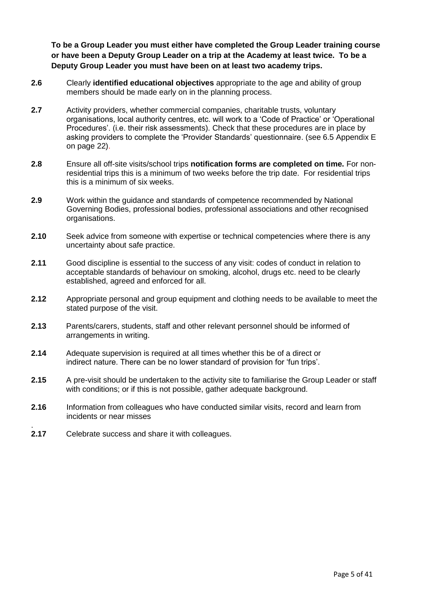To be a Group Leader you must either have completed the Group Leader training course **or have been a Deputy Group Leader on a trip at the Academy at least twice. To be a Deputy Group Leader you must have been on at least two academy trips.**

- **2.6** Clearly **identified educational objectives** appropriate to the age and ability of group members should be made early on in the planning process.
- **2.7** Activity providers, whether commercial companies, charitable trusts, voluntary organisations, local authority centres, etc. will work to a 'Code of Practice' or 'Operational Procedures'. (i.e. their risk assessments). Check that these procedures are in place by asking providers to complete the 'Provider Standards' questionnaire. (see 6.5 Appendix E on page 22).
- **2.8** Ensure all off-site visits/school trips **notification forms are completed on time.** For nonresidential trips this is a minimum of two weeks before the trip date. For residential trips this is a minimum of six weeks.
- **2.9** Work within the guidance and standards of competence recommended by National Governing Bodies, professional bodies, professional associations and other recognised organisations.
- **2.10** Seek advice from someone with expertise or technical competencies where there is any uncertainty about safe practice.
- **2.11** Good discipline is essential to the success of any visit: codes of conduct in relation to acceptable standards of behaviour on smoking, alcohol, drugs etc. need to be clearly established, agreed and enforced for all.
- **2.12** Appropriate personal and group equipment and clothing needs to be available to meet the stated purpose of the visit.
- **2.13** Parents/carers, students, staff and other relevant personnel should be informed of arrangements in writing.
- **2.14** Adequate supervision is required at all times whether this be of a direct or indirect nature. There can be no lower standard of provision for 'fun trips'.
- 2.15 A pre-visit should be undertaken to the activity site to familiarise the Group Leader or staff with conditions; or if this is not possible, gather adequate background.
- **2.16** Information from colleagues who have conducted similar visits, record and learn from incidents or near misses
- **2.17** Celebrate success and share it with colleagues.

.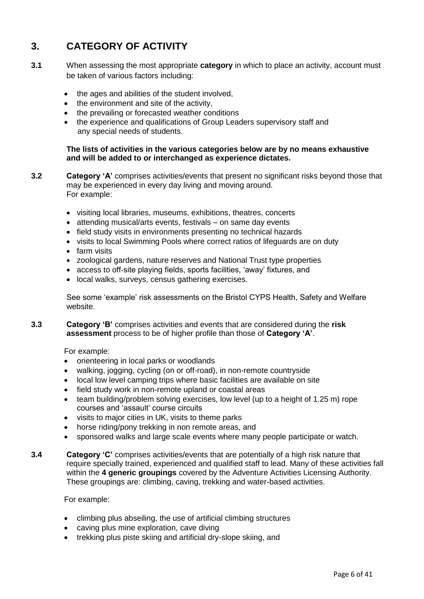## **3. CATEGORY OF ACTIVITY**

- **3.1** When assessing the most appropriate **category** in which to place an activity, account must be taken of various factors including:
	- the ages and abilities of the student involved.
	- the environment and site of the activity,
	- the prevailing or forecasted weather conditions
	- the experience and qualifications of Group Leaders supervisory staff and any special needs of students.

#### **The lists of activities in the various categories below are by no means exhaustive and will be added to or interchanged as experience dictates.**

- **3.2 Category 'A'** comprises activities/events that present no significant risks beyond those that may be experienced in every day living and moving around. For example:
	- visiting local libraries, museums, exhibitions, theatres, concerts
	- attending musical/arts events, festivals on same day events
	- field study visits in environments presenting no technical hazards
	- visits to local Swimming Pools where correct ratios of lifeguards are on duty
	- farm visits
	- zoological gardens, nature reserves and National Trust type properties
	- access to off-site playing fields, sports facilities, 'away' fixtures, and
	- local walks, surveys, census gathering exercises.

See some 'example' risk assessments on the Bristol CYPS Health, Safety and Welfare website.

**3.3 Category 'B'** comprises activities and events that are considered during the **risk assessment** process to be of higher profile than those of **Category 'A'**.

For example:

- orienteering in local parks or woodlands
- walking, jogging, cycling (on or off-road), in non-remote countryside
- local low level camping trips where basic facilities are available on site
- field study work in non-remote upland or coastal areas
- team building/problem solving exercises, low level (up to a height of 1.25 m) rope courses and 'assault' course circuits
- visits to major cities in UK, visits to theme parks
- horse riding/pony trekking in non remote areas, and
- sponsored walks and large scale events where many people participate or watch.
- **3.4 Category 'C'** comprises activities/events that are potentially of a high risk nature that require specially trained, experienced and qualified staff to lead. Many of these activities fall within the **4 generic groupings** covered by the Adventure Activities Licensing Authority. These groupings are: climbing, caving, trekking and water-based activities.

For example:

- climbing plus abseiling, the use of artificial climbing structures
- caving plus mine exploration, cave diving
- trekking plus piste skiing and artificial dry-slope skiing, and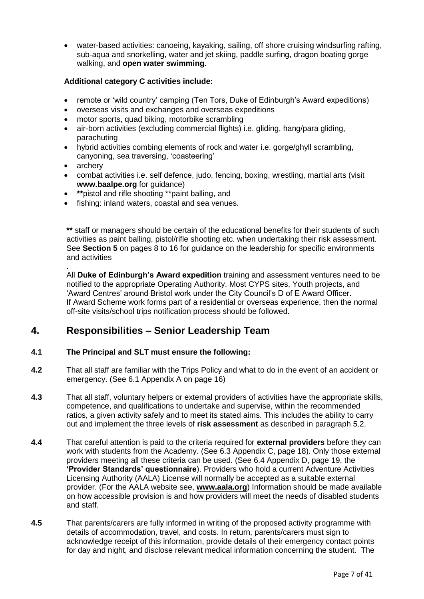water-based activities: canoeing, kayaking, sailing, off shore cruising windsurfing rafting, sub-aqua and snorkelling, water and jet skiing, paddle surfing, dragon boating gorge walking, and **open water swimming.** 

#### **Additional category C activities include:**

- remote or 'wild country' camping (Ten Tors, Duke of Edinburgh's Award expeditions)
- overseas visits and exchanges and overseas expeditions
- motor sports, quad biking, motorbike scrambling
- air-born activities (excluding commercial flights) i.e. gliding, hang/para gliding, parachuting
- hybrid activities combing elements of rock and water i.e. gorge/ghyll scrambling, canyoning, sea traversing, 'coasteering'
- archery
- combat activities i.e. self defence, judo, fencing, boxing, wrestling, martial arts (visit **www.baalpe.org** for guidance)
- **\*\***pistol and rifle shooting \*\*paint balling, and
- fishing: inland waters, coastal and sea venues.

**\*\*** staff or managers should be certain of the educational benefits for their students of such activities as paint balling, pistol/rifle shooting etc. when undertaking their risk assessment. See **Section 5** on pages 8 to 16 for guidance on the leadership for specific environments and activities

. All **Duke of Edinburgh's Award expedition** training and assessment ventures need to be notified to the appropriate Operating Authority. Most CYPS sites, Youth projects, and 'Award Centres' around Bristol work under the City Council's D of E Award Officer. If Award Scheme work forms part of a residential or overseas experience, then the normal off-site visits/school trips notification process should be followed.

#### **4. Responsibilities – Senior Leadership Team**

#### **4.1 The Principal and SLT must ensure the following:**

- **4.2** That all staff are familiar with the Trips Policy and what to do in the event of an accident or emergency. (See 6.1 Appendix A on page 16)
- **4.3** That all staff, voluntary helpers or external providers of activities have the appropriate skills, competence, and qualifications to undertake and supervise, within the recommended ratios, a given activity safely and to meet its stated aims. This includes the ability to carry out and implement the three levels of **risk assessment** as described in paragraph 5.2.
- **4.4** That careful attention is paid to the criteria required for **external providers** before they can work with students from the Academy. (See 6.3 Appendix C, page 18). Only those external providers meeting all these criteria can be used. (See 6.4 Appendix D, page 19, the **'Provider Standards' questionnaire**). Providers who hold a current Adventure Activities Licensing Authority (AALA) License will normally be accepted as a suitable external provider. (For the AALA website see, **www.aala.org**) Information should be made available on how accessible provision is and how providers will meet the needs of disabled students and staff.
- **4.5** That parents/carers are fully informed in writing of the proposed activity programme with details of accommodation, travel, and costs. In return, parents/carers must sign to acknowledge receipt of this information, provide details of their emergency contact points for day and night, and disclose relevant medical information concerning the student. The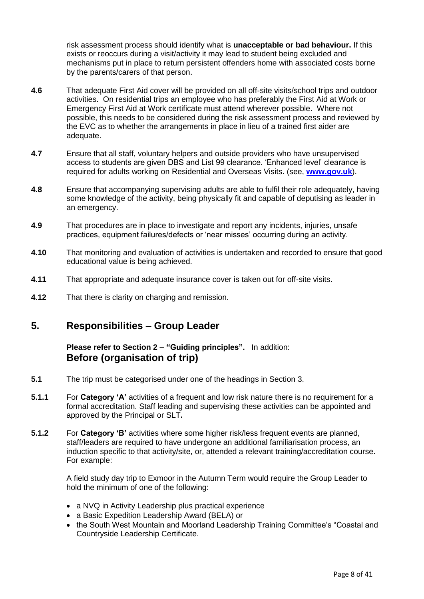risk assessment process should identify what is **unacceptable or bad behaviour.** If this exists or reoccurs during a visit/activity it may lead to student being excluded and mechanisms put in place to return persistent offenders home with associated costs borne by the parents/carers of that person.

- **4.6** That adequate First Aid cover will be provided on all off-site visits/school trips and outdoor activities. On residential trips an employee who has preferably the First Aid at Work or Emergency First Aid at Work certificate must attend wherever possible. Where not possible, this needs to be considered during the risk assessment process and reviewed by the EVC as to whether the arrangements in place in lieu of a trained first aider are adequate.
- **4.7** Ensure that all staff, voluntary helpers and outside providers who have unsupervised access to students are given DBS and List 99 clearance. 'Enhanced level' clearance is required for adults working on Residential and Overseas Visits. (see, **[www.gov.uk](http://www.gov.uk/)**).
- **4.8** Ensure that accompanying supervising adults are able to fulfil their role adequately, having some knowledge of the activity, being physically fit and capable of deputising as leader in an emergency.
- **4.9** That procedures are in place to investigate and report any incidents, injuries, unsafe practices, equipment failures/defects or 'near misses' occurring during an activity.
- **4.10** That monitoring and evaluation of activities is undertaken and recorded to ensure that good educational value is being achieved.
- **4.11** That appropriate and adequate insurance cover is taken out for off-site visits.
- **4.12** That there is clarity on charging and remission.

#### **5. Responsibilities – Group Leader**

**Please refer to Section 2 – "Guiding principles".** In addition: **Before (organisation of trip)**

- **5.1** The trip must be categorised under one of the headings in Section 3.
- **5.1.1** For **Category 'A'** activities of a frequent and low risk nature there is no requirement for a formal accreditation. Staff leading and supervising these activities can be appointed and approved by the Principal or SLT**.**
- **5.1.2** For Category 'B' activities where some higher risk/less frequent events are planned, staff/leaders are required to have undergone an additional familiarisation process, an induction specific to that activity/site, or, attended a relevant training/accreditation course. For example:

A field study day trip to Exmoor in the Autumn Term would require the Group Leader to hold the minimum of one of the following:

- a NVQ in Activity Leadership plus practical experience
- a Basic Expedition Leadership Award (BELA) or
- the South West Mountain and Moorland Leadership Training Committee's "Coastal and Countryside Leadership Certificate.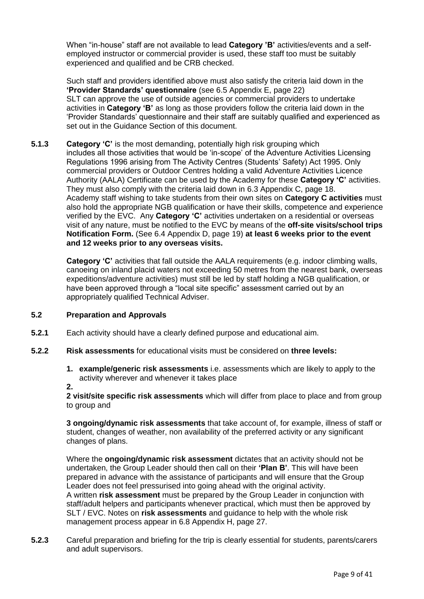When "in-house" staff are not available to lead **Category 'B'** activities/events and a selfemployed instructor or commercial provider is used, these staff too must be suitably experienced and qualified and be CRB checked.

Such staff and providers identified above must also satisfy the criteria laid down in the **'Provider Standards' questionnaire** (see 6.5 Appendix E, page 22) SLT can approve the use of outside agencies or commercial providers to undertake activities in **Category 'B'** as long as those providers follow the criteria laid down in the 'Provider Standards' questionnaire and their staff are suitably qualified and experienced as set out in the Guidance Section of this document.

**5.1.3 Category 'C'** is the most demanding, potentially high risk grouping which includes all those activities that would be 'in-scope' of the Adventure Activities Licensing Regulations 1996 arising from The Activity Centres (Students' Safety) Act 1995. Only commercial providers or Outdoor Centres holding a valid Adventure Activities Licence Authority (AALA) Certificate can be used by the Academy for these **Category 'C'** activities. They must also comply with the criteria laid down in 6.3 Appendix C, page 18. Academy staff wishing to take students from their own sites on **Category C activities** must also hold the appropriate NGB qualification or have their skills, competence and experience verified by the EVC. Any **Category 'C'** activities undertaken on a residential or overseas visit of any nature, must be notified to the EVC by means of the **off-site visits/school trips Notification Form.** (See 6.4 Appendix D, page 19) **at least 6 weeks prior to the event and 12 weeks prior to any overseas visits.** 

> **Category 'C'** activities that fall outside the AALA requirements (e.g. indoor climbing walls, canoeing on inland placid waters not exceeding 50 metres from the nearest bank, overseas expeditions/adventure activities) must still be led by staff holding a NGB qualification, or have been approved through a "local site specific" assessment carried out by an appropriately qualified Technical Adviser.

#### **5.2 Preparation and Approvals**

- **5.2.1** Each activity should have a clearly defined purpose and educational aim.
- **5.2.2 Risk assessments** for educational visits must be considered on **three levels:** 
	- **1. example/generic risk assessments** i.e. assessments which are likely to apply to the activity wherever and whenever it takes place
	- **2.**

**2 visit/site specific risk assessments** which will differ from place to place and from group to group and

**3 ongoing/dynamic risk assessments** that take account of, for example, illness of staff or student, changes of weather, non availability of the preferred activity or any significant changes of plans.

Where the **ongoing/dynamic risk assessment** dictates that an activity should not be undertaken, the Group Leader should then call on their **'Plan B'**. This will have been prepared in advance with the assistance of participants and will ensure that the Group Leader does not feel pressurised into going ahead with the original activity. A written **risk assessment** must be prepared by the Group Leader in conjunction with staff/adult helpers and participants whenever practical, which must then be approved by SLT / EVC. Notes on **risk assessments** and guidance to help with the whole risk management process appear in 6.8 Appendix H, page 27.

**5.2.3** Careful preparation and briefing for the trip is clearly essential for students, parents/carers and adult supervisors.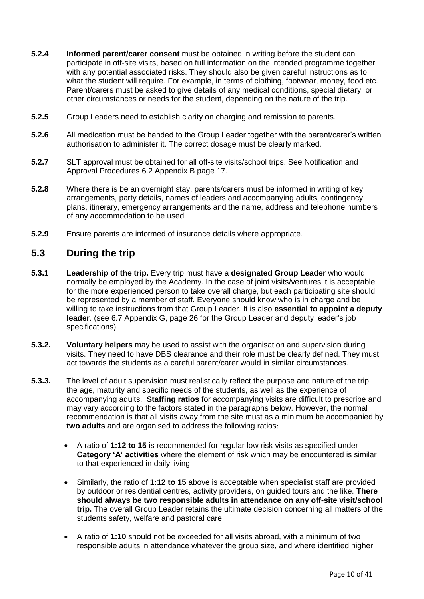- **5.2.4 Informed parent/carer consent** must be obtained in writing before the student can participate in off-site visits, based on full information on the intended programme together with any potential associated risks. They should also be given careful instructions as to what the student will require. For example, in terms of clothing, footwear, money, food etc. Parent/carers must be asked to give details of any medical conditions, special dietary, or other circumstances or needs for the student, depending on the nature of the trip.
- **5.2.5** Group Leaders need to establish clarity on charging and remission to parents.
- **5.2.6** All medication must be handed to the Group Leader together with the parent/carer's written authorisation to administer it. The correct dosage must be clearly marked.
- **5.2.7** SLT approval must be obtained for all off-site visits/school trips. See Notification and Approval Procedures 6.2 Appendix B page 17.
- **5.2.8** Where there is be an overnight stay, parents/carers must be informed in writing of key arrangements, party details, names of leaders and accompanying adults, contingency plans, itinerary, emergency arrangements and the name, address and telephone numbers of any accommodation to be used.
- **5.2.9** Ensure parents are informed of insurance details where appropriate.

#### **5.3 During the trip**

- **5.3.1 Leadership of the trip.** Every trip must have a **designated Group Leader** who would normally be employed by the Academy. In the case of joint visits/ventures it is acceptable for the more experienced person to take overall charge, but each participating site should be represented by a member of staff. Everyone should know who is in charge and be willing to take instructions from that Group Leader. It is also **essential to appoint a deputy leader**. (see 6.7 Appendix G, page 26 for the Group Leader and deputy leader's job specifications)
- **5.3.2. Voluntary helpers** may be used to assist with the organisation and supervision during visits. They need to have DBS clearance and their role must be clearly defined. They must act towards the students as a careful parent/carer would in similar circumstances.
- **5.3.3.** The level of adult supervision must realistically reflect the purpose and nature of the trip, the age, maturity and specific needs of the students, as well as the experience of accompanying adults. **Staffing ratios** for accompanying visits are difficult to prescribe and may vary according to the factors stated in the paragraphs below. However, the normal recommendation is that all visits away from the site must as a minimum be accompanied by **two adults** and are organised to address the following ratios:
	- A ratio of **1:12 to 15** is recommended for regular low risk visits as specified under **Category 'A' activities** where the element of risk which may be encountered is similar to that experienced in daily living
	- Similarly, the ratio of **1:12 to 15** above is acceptable when specialist staff are provided by outdoor or residential centres, activity providers, on guided tours and the like. **There should always be two responsible adults in attendance on any off-site visit/school trip.** The overall Group Leader retains the ultimate decision concerning all matters of the students safety, welfare and pastoral care
	- A ratio of **1:10** should not be exceeded for all visits abroad, with a minimum of two responsible adults in attendance whatever the group size, and where identified higher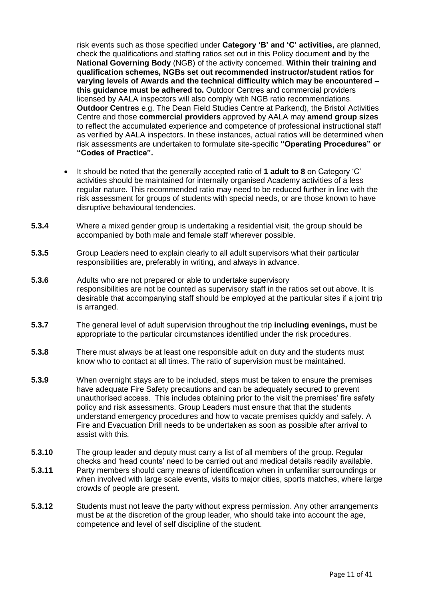risk events such as those specified under **Category 'B' and 'C' activities**, are planned, check the qualifications and staffing ratios set out in this Policy document **and** by the **National Governing Body** (NGB) of the activity concerned. **Within their training and qualification schemes, NGBs set out recommended instructor/student ratios for varying levels of Awards and the technical difficulty which may be encountered – this guidance must be adhered to.** Outdoor Centres and commercial providers licensed by AALA inspectors will also comply with NGB ratio recommendations. **Outdoor Centres** e.g. The Dean Field Studies Centre at Parkend), the Bristol Activities Centre and those **commercial providers** approved by AALA may **amend group sizes**  to reflect the accumulated experience and competence of professional instructional staff as verified by AALA inspectors. In these instances, actual ratios will be determined when risk assessments are undertaken to formulate site-specific **"Operating Procedures" or "Codes of Practice".** 

- It should be noted that the generally accepted ratio of **1 adult to 8** on Category 'C' activities should be maintained for internally organised Academy activities of a less regular nature. This recommended ratio may need to be reduced further in line with the risk assessment for groups of students with special needs, or are those known to have disruptive behavioural tendencies.
- **5.3.4** Where a mixed gender group is undertaking a residential visit, the group should be accompanied by both male and female staff wherever possible.
- **5.3.5** Group Leaders need to explain clearly to all adult supervisors what their particular responsibilities are, preferably in writing, and always in advance.
- **5.3.6** Adults who are not prepared or able to undertake supervisory responsibilities are not be counted as supervisory staff in the ratios set out above. It is desirable that accompanying staff should be employed at the particular sites if a joint trip is arranged.
- **5.3.7** The general level of adult supervision throughout the trip **including evenings,** must be appropriate to the particular circumstances identified under the risk procedures.
- **5.3.8** There must always be at least one responsible adult on duty and the students must know who to contact at all times. The ratio of supervision must be maintained.
- **5.3.9** When overnight stays are to be included, steps must be taken to ensure the premises have adequate Fire Safety precautions and can be adequately secured to prevent unauthorised access. This includes obtaining prior to the visit the premises' fire safety policy and risk assessments. Group Leaders must ensure that that the students understand emergency procedures and how to vacate premises quickly and safely. A Fire and Evacuation Drill needs to be undertaken as soon as possible after arrival to assist with this.
- **5.3.10** The group leader and deputy must carry a list of all members of the group. Regular checks and 'head counts' need to be carried out and medical details readily available.
- **5.3.11** Party members should carry means of identification when in unfamiliar surroundings or when involved with large scale events, visits to major cities, sports matches, where large crowds of people are present.
- **5.3.12** Students must not leave the party without express permission. Any other arrangements must be at the discretion of the group leader, who should take into account the age, competence and level of self discipline of the student.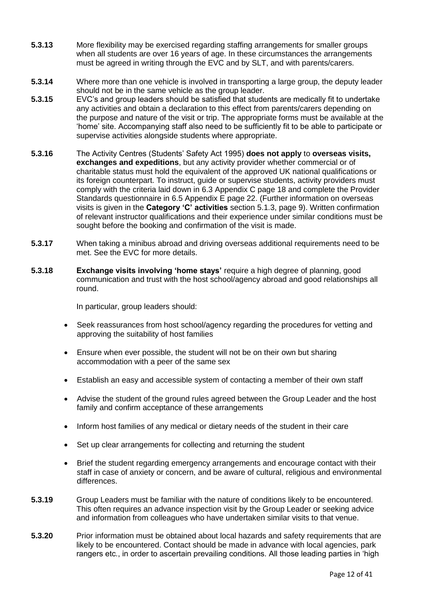- **5.3.13** More flexibility may be exercised regarding staffing arrangements for smaller groups when all students are over 16 years of age. In these circumstances the arrangements must be agreed in writing through the EVC and by SLT, and with parents/carers.
- **5.3.14** Where more than one vehicle is involved in transporting a large group, the deputy leader should not be in the same vehicle as the group leader.
- **5.3.15** EVC's and group leaders should be satisfied that students are medically fit to undertake any activities and obtain a declaration to this effect from parents/carers depending on the purpose and nature of the visit or trip. The appropriate forms must be available at the 'home' site. Accompanying staff also need to be sufficiently fit to be able to participate or supervise activities alongside students where appropriate.
- **5.3.16** The Activity Centres (Students' Safety Act 1995) **does not apply** to **overseas visits, exchanges and expeditions**, but any activity provider whether commercial or of charitable status must hold the equivalent of the approved UK national qualifications or its foreign counterpart. To instruct, guide or supervise students, activity providers must comply with the criteria laid down in 6.3 Appendix C page 18 and complete the Provider Standards questionnaire in 6.5 Appendix E page 22. (Further information on overseas visits is given in the **Category 'C' activities** section 5.1.3, page 9). Written confirmation of relevant instructor qualifications and their experience under similar conditions must be sought before the booking and confirmation of the visit is made.
- **5.3.17** When taking a minibus abroad and driving overseas additional requirements need to be met. See the EVC for more details.
- **5.3.18 Exchange visits involving 'home stays'** require a high degree of planning, good communication and trust with the host school/agency abroad and good relationships all round.

In particular, group leaders should:

- Seek reassurances from host school/agency regarding the procedures for vetting and approving the suitability of host families
- Ensure when ever possible, the student will not be on their own but sharing accommodation with a peer of the same sex
- Establish an easy and accessible system of contacting a member of their own staff
- Advise the student of the ground rules agreed between the Group Leader and the host family and confirm acceptance of these arrangements
- Inform host families of any medical or dietary needs of the student in their care
- Set up clear arrangements for collecting and returning the student
- Brief the student regarding emergency arrangements and encourage contact with their staff in case of anxiety or concern, and be aware of cultural, religious and environmental differences.
- **5.3.19** Group Leaders must be familiar with the nature of conditions likely to be encountered. This often requires an advance inspection visit by the Group Leader or seeking advice and information from colleagues who have undertaken similar visits to that venue.
- **5.3.20** Prior information must be obtained about local hazards and safety requirements that are likely to be encountered. Contact should be made in advance with local agencies, park rangers etc., in order to ascertain prevailing conditions. All those leading parties in 'high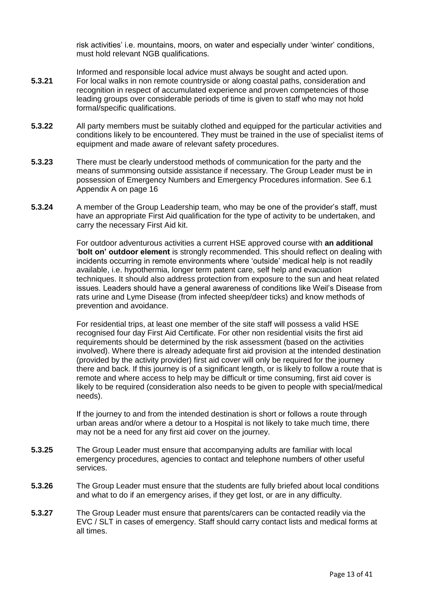risk activities' i.e. mountains, moors, on water and especially under 'winter' conditions, must hold relevant NGB qualifications.

- Informed and responsible local advice must always be sought and acted upon. **5.3.21** For local walks in non remote countryside or along coastal paths, consideration and recognition in respect of accumulated experience and proven competencies of those leading groups over considerable periods of time is given to staff who may not hold formal/specific qualifications.
- **5.3.22** All party members must be suitably clothed and equipped for the particular activities and conditions likely to be encountered. They must be trained in the use of specialist items of equipment and made aware of relevant safety procedures.
- **5.3.23** There must be clearly understood methods of communication for the party and the means of summonsing outside assistance if necessary. The Group Leader must be in possession of Emergency Numbers and Emergency Procedures information. See 6.1 Appendix A on page 16
- **5.3.24** A member of the Group Leadership team, who may be one of the provider's staff, must have an appropriate First Aid qualification for the type of activity to be undertaken, and carry the necessary First Aid kit.

For outdoor adventurous activities a current HSE approved course with **an additional**  '**bolt on' outdoor element** is strongly recommended. This should reflect on dealing with incidents occurring in remote environments where 'outside' medical help is not readily available, i.e. hypothermia, longer term patent care, self help and evacuation techniques. It should also address protection from exposure to the sun and heat related issues. Leaders should have a general awareness of conditions like Weil's Disease from rats urine and Lyme Disease (from infected sheep/deer ticks) and know methods of prevention and avoidance.

For residential trips, at least one member of the site staff will possess a valid HSE recognised four day First Aid Certificate. For other non residential visits the first aid requirements should be determined by the risk assessment (based on the activities involved). Where there is already adequate first aid provision at the intended destination (provided by the activity provider) first aid cover will only be required for the journey there and back. If this journey is of a significant length, or is likely to follow a route that is remote and where access to help may be difficult or time consuming, first aid cover is likely to be required (consideration also needs to be given to people with special/medical needs).

If the journey to and from the intended destination is short or follows a route through urban areas and/or where a detour to a Hospital is not likely to take much time, there may not be a need for any first aid cover on the journey.

- **5.3.25** The Group Leader must ensure that accompanying adults are familiar with local emergency procedures, agencies to contact and telephone numbers of other useful services.
- **5.3.26** The Group Leader must ensure that the students are fully briefed about local conditions and what to do if an emergency arises, if they get lost, or are in any difficulty.
- **5.3.27** The Group Leader must ensure that parents/carers can be contacted readily via the EVC / SLT in cases of emergency. Staff should carry contact lists and medical forms at all times.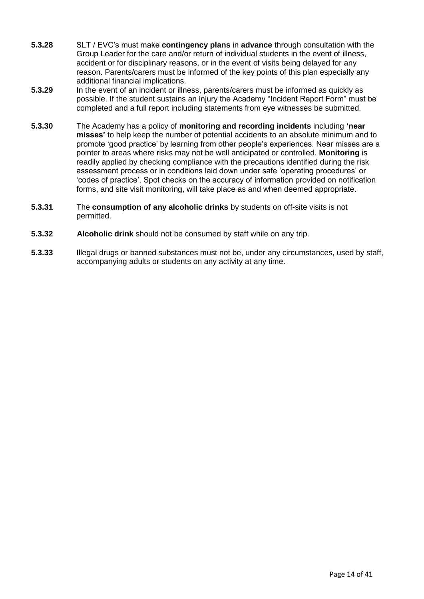- **5.3.28** SLT / EVC's must make **contingency plans** in **advance** through consultation with the Group Leader for the care and/or return of individual students in the event of illness, accident or for disciplinary reasons, or in the event of visits being delayed for any reason. Parents/carers must be informed of the key points of this plan especially any additional financial implications.
- **5.3.29** In the event of an incident or illness, parents/carers must be informed as quickly as possible. If the student sustains an injury the Academy "Incident Report Form" must be completed and a full report including statements from eye witnesses be submitted.
- **5.3.30** The Academy has a policy of **monitoring and recording incidents** including **'near misses'** to help keep the number of potential accidents to an absolute minimum and to promote 'good practice' by learning from other people's experiences. Near misses are a pointer to areas where risks may not be well anticipated or controlled. **Monitoring** is readily applied by checking compliance with the precautions identified during the risk assessment process or in conditions laid down under safe 'operating procedures' or 'codes of practice'. Spot checks on the accuracy of information provided on notification forms, and site visit monitoring, will take place as and when deemed appropriate.
- **5.3.31** The **consumption of any alcoholic drinks** by students on off-site visits is not permitted.
- **5.3.32 Alcoholic drink** should not be consumed by staff while on any trip.
- **5.3.33** Illegal drugs or banned substances must not be, under any circumstances, used by staff, accompanying adults or students on any activity at any time.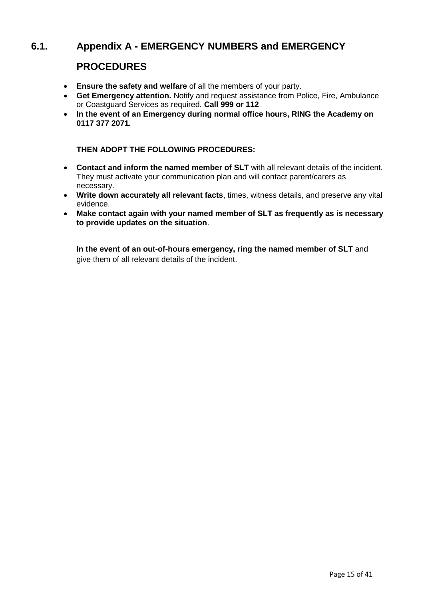## 6.1. Appendix A - **EMERGENCY NUMBERS** and **EMERGENCY**

### **PROCEDURES**

- **Ensure the safety and welfare** of all the members of your party.
- **Get Emergency attention.** Notify and request assistance from Police, Fire, Ambulance or Coastguard Services as required. **Call 999 or 112**
- **In the event of an Emergency during normal office hours, RING the Academy on 0117 377 2071.**

**THEN ADOPT THE FOLLOWING PROCEDURES:** 

- **Contact and inform the named member of SLT** with all relevant details of the incident. They must activate your communication plan and will contact parent/carers as necessary.
- **Write down accurately all relevant facts**, times, witness details, and preserve any vital evidence.
- **Make contact again with your named member of SLT as frequently as is necessary to provide updates on the situation**.

**In the event of an out-of-hours emergency, ring the named member of SLT** and give them of all relevant details of the incident.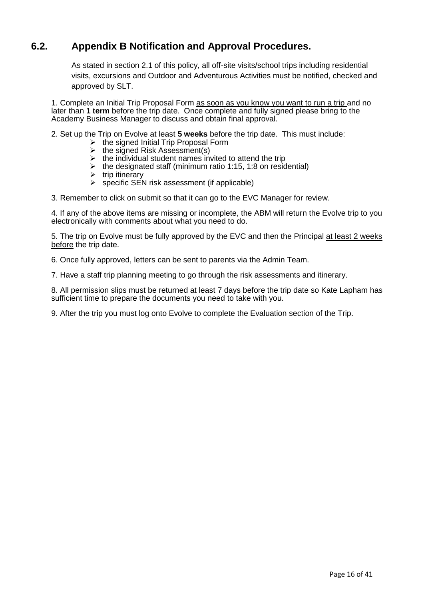## **6.2.** Appendix B Notification and Approval Procedures.

As stated in section 2.1 of this policy, all off-site visits/school trips including residential visits, excursions and Outdoor and Adventurous Activities must be notified, checked and approved by SLT.

1. Complete an Initial Trip Proposal Form as soon as you know you want to run a trip and no later than **1 term** before the trip date. Once complete and fully signed please bring to the Academy Business Manager to discuss and obtain final approval.

2. Set up the Trip on Evolve at least **5 weeks** before the trip date. This must include:

- ➢ the signed Initial Trip Proposal Form
- $\triangleright$  the signed Risk Assessment(s)
- $\triangleright$  the individual student names invited to attend the trip
- $\triangleright$  the designated staff (minimum ratio 1:15, 1:8 on residential)
- $\triangleright$  trip itinerary
- $\triangleright$  specific SEN risk assessment (if applicable)

3. Remember to click on submit so that it can go to the EVC Manager for review.

4. If any of the above items are missing or incomplete, the ABM will return the Evolve trip to you electronically with comments about what you need to do.

5. The trip on Evolve must be fully approved by the EVC and then the Principal at least 2 weeks before the trip date.

6. Once fully approved, letters can be sent to parents via the Admin Team.

7. Have a staff trip planning meeting to go through the risk assessments and itinerary.

8. All permission slips must be returned at least 7 days before the trip date so Kate Lapham has sufficient time to prepare the documents you need to take with you.

9. After the trip you must log onto Evolve to complete the Evaluation section of the Trip.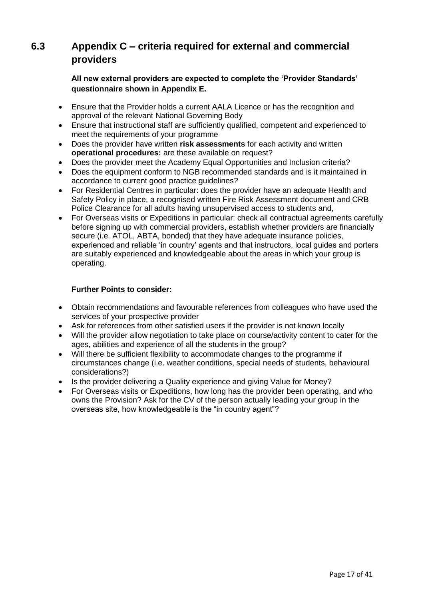## **6.3** Appendix C – criteria required for external and commercial **providers**

#### **All new external providers are expected to complete the 'Provider Standards' questionnaire shown in Appendix E.**

- Ensure that the Provider holds a current AALA Licence or has the recognition and approval of the relevant National Governing Body
- Ensure that instructional staff are sufficiently qualified, competent and experienced to meet the requirements of your programme
- Does the provider have written **risk assessments** for each activity and written **operational procedures:** are these available on request?
- Does the provider meet the Academy Equal Opportunities and Inclusion criteria?
- Does the equipment conform to NGB recommended standards and is it maintained in accordance to current good practice guidelines?
- For Residential Centres in particular: does the provider have an adequate Health and Safety Policy in place, a recognised written Fire Risk Assessment document and CRB Police Clearance for all adults having unsupervised access to students and,
- For Overseas visits or Expeditions in particular: check all contractual agreements carefully before signing up with commercial providers, establish whether providers are financially secure (i.e. ATOL, ABTA, bonded) that they have adequate insurance policies, experienced and reliable 'in country' agents and that instructors, local guides and porters are suitably experienced and knowledgeable about the areas in which your group is operating.

#### **Further Points to consider:**

- Obtain recommendations and favourable references from colleagues who have used the services of your prospective provider
- Ask for references from other satisfied users if the provider is not known locally
- Will the provider allow negotiation to take place on course/activity content to cater for the ages, abilities and experience of all the students in the group?
- Will there be sufficient flexibility to accommodate changes to the programme if circumstances change (i.e. weather conditions, special needs of students, behavioural considerations?)
- Is the provider delivering a Quality experience and giving Value for Money?
- For Overseas visits or Expeditions, how long has the provider been operating, and who owns the Provision? Ask for the CV of the person actually leading your group in the overseas site, how knowledgeable is the "in country agent"?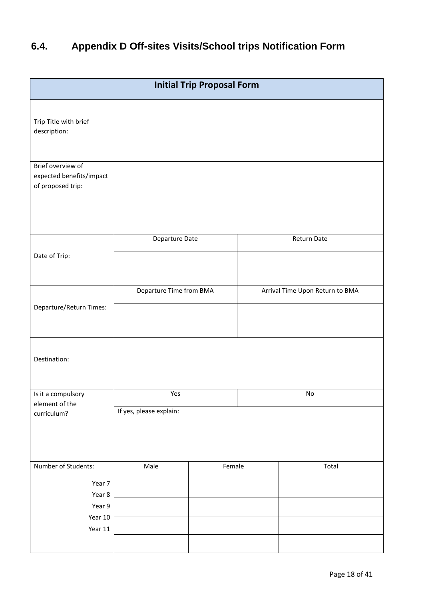## **6.4.** Appendix D Off-sites Visits/School trips Notification Form

| <b>Initial Trip Proposal Form</b>                  |  |  |                                 |  |
|----------------------------------------------------|--|--|---------------------------------|--|
|                                                    |  |  |                                 |  |
|                                                    |  |  |                                 |  |
| Return Date<br>Departure Date                      |  |  |                                 |  |
| Departure Time from BMA<br>Departure/Return Times: |  |  | Arrival Time Upon Return to BMA |  |
|                                                    |  |  |                                 |  |
| Yes<br>$\mathsf{No}$<br>If yes, please explain:    |  |  |                                 |  |
| Male                                               |  |  | Total                           |  |
|                                                    |  |  | Female                          |  |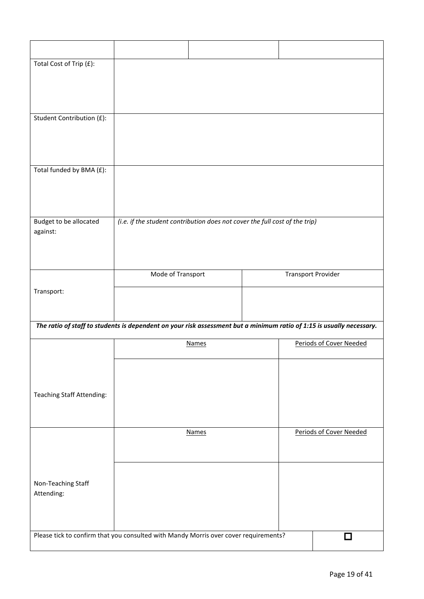| Total Cost of Trip (£):            |                                                                                                                       |                           |                         |
|------------------------------------|-----------------------------------------------------------------------------------------------------------------------|---------------------------|-------------------------|
|                                    |                                                                                                                       |                           |                         |
|                                    |                                                                                                                       |                           |                         |
| Student Contribution (£):          |                                                                                                                       |                           |                         |
|                                    |                                                                                                                       |                           |                         |
|                                    |                                                                                                                       |                           |                         |
| Total funded by BMA (£):           |                                                                                                                       |                           |                         |
|                                    |                                                                                                                       |                           |                         |
|                                    |                                                                                                                       |                           |                         |
| Budget to be allocated<br>against: | (i.e. if the student contribution does not cover the full cost of the trip)                                           |                           |                         |
|                                    |                                                                                                                       |                           |                         |
|                                    |                                                                                                                       |                           |                         |
|                                    | Mode of Transport                                                                                                     | <b>Transport Provider</b> |                         |
| Transport:                         |                                                                                                                       |                           |                         |
|                                    |                                                                                                                       |                           |                         |
|                                    | The ratio of staff to students is dependent on your risk assessment but a minimum ratio of 1:15 is usually necessary. |                           |                         |
|                                    | <b>Names</b>                                                                                                          |                           | Periods of Cover Needed |
|                                    |                                                                                                                       |                           |                         |
|                                    |                                                                                                                       |                           |                         |
| <b>Teaching Staff Attending:</b>   |                                                                                                                       |                           |                         |
|                                    |                                                                                                                       |                           |                         |
|                                    | <b>Names</b>                                                                                                          |                           | Periods of Cover Needed |
|                                    |                                                                                                                       |                           |                         |
|                                    |                                                                                                                       |                           |                         |
| Non-Teaching Staff<br>Attending:   |                                                                                                                       |                           |                         |
|                                    |                                                                                                                       |                           |                         |
|                                    | Please tick to confirm that you consulted with Mandy Morris over cover requirements?                                  |                           |                         |
|                                    |                                                                                                                       |                           | □                       |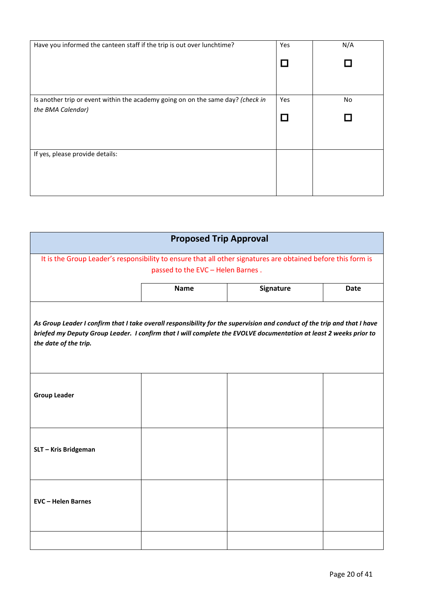| Have you informed the canteen staff if the trip is out over lunchtime?          | Yes | N/A |
|---------------------------------------------------------------------------------|-----|-----|
|                                                                                 |     |     |
|                                                                                 |     |     |
|                                                                                 |     |     |
| Is another trip or event within the academy going on on the same day? (check in | Yes | No  |
| the BMA Calendar)                                                               |     |     |
|                                                                                 |     |     |
|                                                                                 |     |     |
| If yes, please provide details:                                                 |     |     |
|                                                                                 |     |     |
|                                                                                 |     |     |
|                                                                                 |     |     |

| <b>Proposed Trip Approval</b>                                                                                                                                                                                                                                          |                                   |           |             |
|------------------------------------------------------------------------------------------------------------------------------------------------------------------------------------------------------------------------------------------------------------------------|-----------------------------------|-----------|-------------|
| It is the Group Leader's responsibility to ensure that all other signatures are obtained before this form is                                                                                                                                                           |                                   |           |             |
|                                                                                                                                                                                                                                                                        | passed to the EVC - Helen Barnes. |           |             |
|                                                                                                                                                                                                                                                                        |                                   |           |             |
|                                                                                                                                                                                                                                                                        | <b>Name</b>                       | Signature | <b>Date</b> |
| As Group Leader I confirm that I take overall responsibility for the supervision and conduct of the trip and that I have<br>briefed my Deputy Group Leader. I confirm that I will complete the EVOLVE documentation at least 2 weeks prior to<br>the date of the trip. |                                   |           |             |
| <b>Group Leader</b>                                                                                                                                                                                                                                                    |                                   |           |             |
| SLT - Kris Bridgeman                                                                                                                                                                                                                                                   |                                   |           |             |
| <b>EVC - Helen Barnes</b>                                                                                                                                                                                                                                              |                                   |           |             |
|                                                                                                                                                                                                                                                                        |                                   |           |             |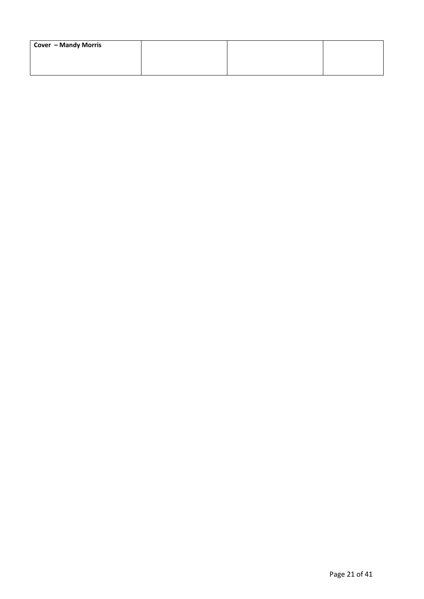| Cover - Mandy Morris |  |  |
|----------------------|--|--|
|                      |  |  |
|                      |  |  |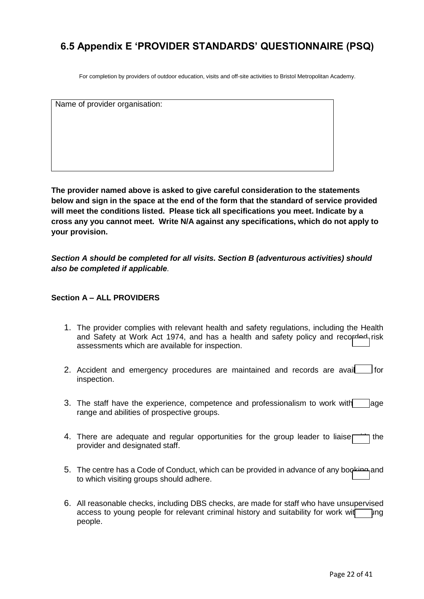## **6.5 Appendix E 'PROVIDER STANDARDS' QUESTIONNAIRE (PSQ)**

For completion by providers of outdoor education, visits and off-site activities to Bristol Metropolitan Academy.

Name of provider organisation:

**The provider named above is asked to give careful consideration to the statements below and sign in the space at the end of the form that the standard of service provided will meet the conditions listed. Please tick all specifications you meet. Indicate by a cross any you cannot meet. Write N/A against any specifications, which do not apply to your provision.**

*Section A should be completed for all visits. Section B (adventurous activities) should also be completed if applicable.*

#### **Section A – ALL PROVIDERS**

- 1. The provider complies with relevant health and safety regulations, including the Health and Safety at Work Act 1974, and has a health and safety policy and recorded risk assessments which are available for inspection.
- 2. Accident and emergency procedures are maintained and records are avail<br>  $\Box$  for inspection.
- 3. The staff have the experience, competence and professionalism to work with  $\Box$  age range and abilities of prospective groups.
- 4. There are adequate and regular opportunities for the group leader to liaise  $\Box$  the provider and designated staff.
- 5. The centre has a Code of Conduct, which can be provided in advance of any booking and to which visiting groups should adhere.
- 6. All reasonable checks, including DBS checks, are made for staff who have unsupervised access to young people for relevant criminal history and suitability for work wit $\nabla$ ung people.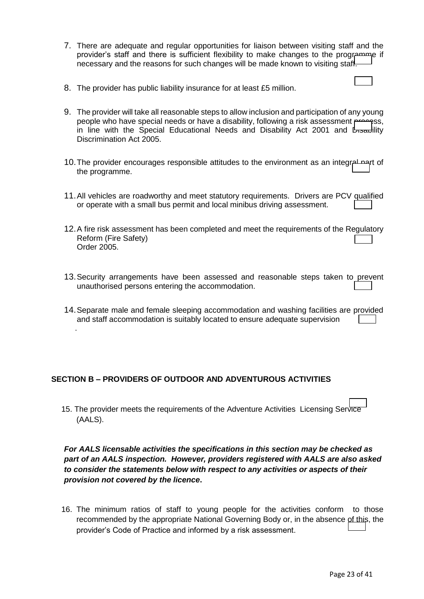- 7. There are adequate and regular opportunities for liaison between visiting staff and the provider's staff and there is sufficient flexibility to make changes to the programme if necessary and the reasons for such changes will be made known to visiting staff.
- 8. The provider has public liability insurance for at least £5 million.
- 9. The provider will take all reasonable steps to allow inclusion and participation of any young people who have special needs or have a disability, following a risk assessment process. in line with the Special Educational Needs and Disability Act 2001 and  $\mathbb{L}_{\text{rsad}}$ ility Discrimination Act 2005.
- 10. The provider encourages responsible attitudes to the environment as an integral part of the programme.
- 11.All vehicles are roadworthy and meet statutory requirements. Drivers are PCV qualified or operate with a small bus permit and local minibus driving assessment.
- 12.A fire risk assessment has been completed and meet the requirements of the Regulatory Reform (Fire Safety) Order 2005.
- 13.Security arrangements have been assessed and reasonable steps taken to prevent unauthorised persons entering the accommodation.
- 14.Separate male and female sleeping accommodation and washing facilities are provided and staff accommodation is suitably located to ensure adequate supervision

#### **SECTION B – PROVIDERS OF OUTDOOR AND ADVENTUROUS ACTIVITIES**

.

15. The provider meets the requirements of the Adventure Activities Licensing Service (AALS).

*For AALS licensable activities the specifications in this section may be checked as part of an AALS inspection. However, providers registered with AALS are also asked to consider the statements below with respect to any activities or aspects of their provision not covered by the licence***.**

16. The minimum ratios of staff to young people for the activities conform to those recommended by the appropriate National Governing Body or, in the absence of this, the provider's Code of Practice and informed by a risk assessment.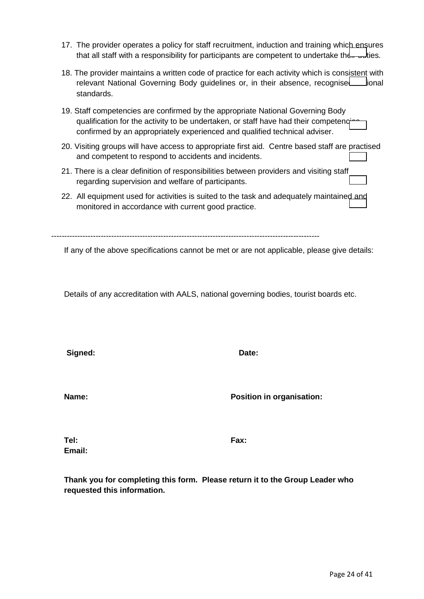Page 24 of 41

- 17. The provider operates a policy for staff recruitment, induction and training which ensures that all staff with a responsibility for participants are competent to undertake the  $\frac{1}{2}$  duties.
- 18. The provider maintains a written code of practice for each activity which is consistent with relevant National Governing Body guidelines or, in their absence, recognise includional standards.
- 19. Staff competencies are confirmed by the appropriate National Governing Body qualification for the activity to be undertaken, or staff have had their competeng confirmed by an appropriately experienced and qualified technical adviser.
- 20. Visiting groups will have access to appropriate first aid. Centre based staff are practised and competent to respond to accidents and incidents.
- 21. There is a clear definition of responsibilities between providers and visiting staff regarding supervision and welfare of participants.
- 22. All equipment used for activities is suited to the task and adequately maintained and monitored in accordance with current good practice.

-------------------------------------------------------------------------------------------------------

If any of the above specifications cannot be met or are not applicable, please give details:

Details of any accreditation with AALS, national governing bodies, tourist boards etc.

Signed: **Date:** Date:

**Name: Name: Position in organisation:** 

**Tel: Fax: Email:**

**Thank you for completing this form. Please return it to the Group Leader who requested this information.**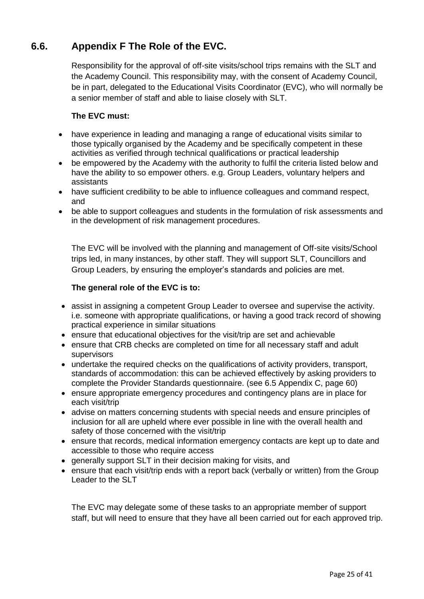## **6.6.** Appendix F The Role of the EVC.

Responsibility for the approval of off-site visits/school trips remains with the SLT and the Academy Council. This responsibility may, with the consent of Academy Council, be in part, delegated to the Educational Visits Coordinator (EVC), who will normally be a senior member of staff and able to liaise closely with SLT.

#### **The EVC must:**

- have experience in leading and managing a range of educational visits similar to those typically organised by the Academy and be specifically competent in these activities as verified through technical qualifications or practical leadership
- be empowered by the Academy with the authority to fulfil the criteria listed below and have the ability to so empower others. e.g. Group Leaders, voluntary helpers and assistants
- have sufficient credibility to be able to influence colleagues and command respect, and
- be able to support colleagues and students in the formulation of risk assessments and in the development of risk management procedures.

The EVC will be involved with the planning and management of Off-site visits/School trips led, in many instances, by other staff. They will support SLT, Councillors and Group Leaders, by ensuring the employer's standards and policies are met.

#### **The general role of the EVC is to:**

- assist in assigning a competent Group Leader to oversee and supervise the activity. i.e. someone with appropriate qualifications, or having a good track record of showing practical experience in similar situations
- ensure that educational objectives for the visit/trip are set and achievable
- ensure that CRB checks are completed on time for all necessary staff and adult supervisors
- undertake the required checks on the qualifications of activity providers, transport, standards of accommodation: this can be achieved effectively by asking providers to complete the Provider Standards questionnaire. (see 6.5 Appendix C, page 60)
- ensure appropriate emergency procedures and contingency plans are in place for each visit/trip
- advise on matters concerning students with special needs and ensure principles of inclusion for all are upheld where ever possible in line with the overall health and safety of those concerned with the visit/trip
- ensure that records, medical information emergency contacts are kept up to date and accessible to those who require access
- generally support SLT in their decision making for visits, and
- ensure that each visit/trip ends with a report back (verbally or written) from the Group Leader to the SLT

The EVC may delegate some of these tasks to an appropriate member of support staff, but will need to ensure that they have all been carried out for each approved trip.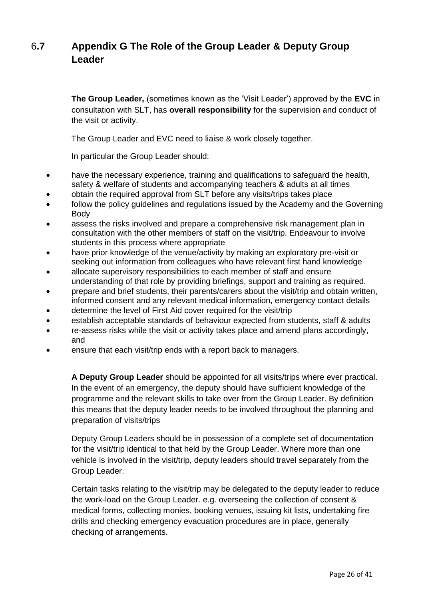## **6.7** Appendix G The Role of the Group Leader & Deputy Group **Leader**

**The Group Leader,** (sometimes known as the 'Visit Leader') approved by the **EVC** in consultation with SLT, has **overall responsibility** for the supervision and conduct of the visit or activity.

The Group Leader and EVC need to liaise & work closely together.

In particular the Group Leader should:

- have the necessary experience, training and qualifications to safeguard the health, safety & welfare of students and accompanying teachers & adults at all times
- obtain the required approval from SLT before any visits/trips takes place
- follow the policy guidelines and regulations issued by the Academy and the Governing Body
- assess the risks involved and prepare a comprehensive risk management plan in consultation with the other members of staff on the visit/trip. Endeavour to involve students in this process where appropriate
- have prior knowledge of the venue/activity by making an exploratory pre-visit or seeking out information from colleagues who have relevant first hand knowledge
- allocate supervisory responsibilities to each member of staff and ensure understanding of that role by providing briefings, support and training as required.
- prepare and brief students, their parents/carers about the visit/trip and obtain written, informed consent and any relevant medical information, emergency contact details
- determine the level of First Aid cover required for the visit/trip
- establish acceptable standards of behaviour expected from students, staff & adults
- re-assess risks while the visit or activity takes place and amend plans accordingly, and
- ensure that each visit/trip ends with a report back to managers.

**A Deputy Group Leader** should be appointed for all visits/trips where ever practical. In the event of an emergency, the deputy should have sufficient knowledge of the programme and the relevant skills to take over from the Group Leader. By definition this means that the deputy leader needs to be involved throughout the planning and preparation of visits/trips

Deputy Group Leaders should be in possession of a complete set of documentation for the visit/trip identical to that held by the Group Leader. Where more than one vehicle is involved in the visit/trip, deputy leaders should travel separately from the Group Leader.

Certain tasks relating to the visit/trip may be delegated to the deputy leader to reduce the work-load on the Group Leader. e.g. overseeing the collection of consent & medical forms, collecting monies, booking venues, issuing kit lists, undertaking fire drills and checking emergency evacuation procedures are in place, generally checking of arrangements.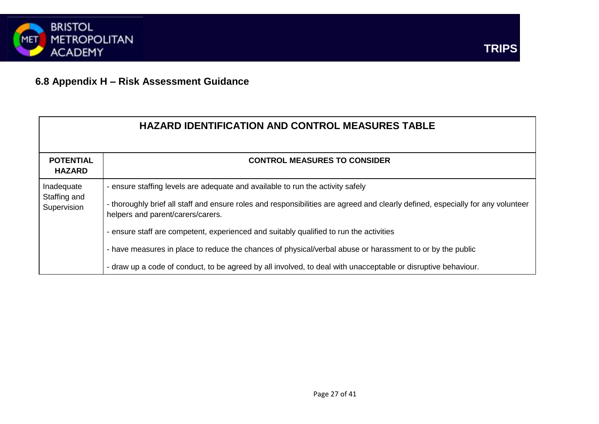

## **6.8 Appendix H – Risk Assessment Guidance**

|                                           | <b>HAZARD IDENTIFICATION AND CONTROL MEASURES TABLE</b>                                                                                                                                                                                                                                                                                                                                                                                                                                                                                                                        |
|-------------------------------------------|--------------------------------------------------------------------------------------------------------------------------------------------------------------------------------------------------------------------------------------------------------------------------------------------------------------------------------------------------------------------------------------------------------------------------------------------------------------------------------------------------------------------------------------------------------------------------------|
| <b>POTENTIAL</b><br><b>HAZARD</b>         | <b>CONTROL MEASURES TO CONSIDER</b>                                                                                                                                                                                                                                                                                                                                                                                                                                                                                                                                            |
| Inadequate<br>Staffing and<br>Supervision | - ensure staffing levels are adequate and available to run the activity safely<br>- thoroughly brief all staff and ensure roles and responsibilities are agreed and clearly defined, especially for any volunteer<br>helpers and parent/carers/carers.<br>- ensure staff are competent, experienced and suitably qualified to run the activities<br>- have measures in place to reduce the chances of physical/verbal abuse or harassment to or by the public<br>- draw up a code of conduct, to be agreed by all involved, to deal with unacceptable or disruptive behaviour. |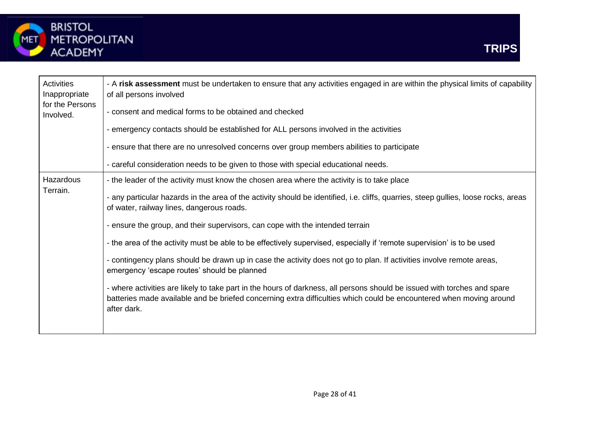

| Activities<br>Inappropriate<br>for the Persons<br>Involved. | - A risk assessment must be undertaken to ensure that any activities engaged in are within the physical limits of capability<br>of all persons involved                                                                                                        |
|-------------------------------------------------------------|----------------------------------------------------------------------------------------------------------------------------------------------------------------------------------------------------------------------------------------------------------------|
|                                                             | - consent and medical forms to be obtained and checked                                                                                                                                                                                                         |
|                                                             | - emergency contacts should be established for ALL persons involved in the activities                                                                                                                                                                          |
|                                                             | - ensure that there are no unresolved concerns over group members abilities to participate                                                                                                                                                                     |
|                                                             | - careful consideration needs to be given to those with special educational needs.                                                                                                                                                                             |
| Hazardous                                                   | - the leader of the activity must know the chosen area where the activity is to take place                                                                                                                                                                     |
| Terrain.                                                    | - any particular hazards in the area of the activity should be identified, i.e. cliffs, quarries, steep gullies, loose rocks, areas<br>of water, railway lines, dangerous roads.                                                                               |
|                                                             | - ensure the group, and their supervisors, can cope with the intended terrain                                                                                                                                                                                  |
|                                                             | - the area of the activity must be able to be effectively supervised, especially if 'remote supervision' is to be used                                                                                                                                         |
|                                                             | - contingency plans should be drawn up in case the activity does not go to plan. If activities involve remote areas,<br>emergency 'escape routes' should be planned                                                                                            |
|                                                             | - where activities are likely to take part in the hours of darkness, all persons should be issued with torches and spare<br>batteries made available and be briefed concerning extra difficulties which could be encountered when moving around<br>after dark. |
|                                                             |                                                                                                                                                                                                                                                                |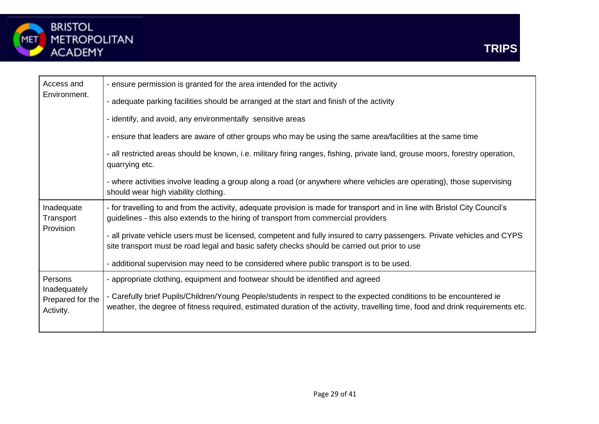

| Access and                                    | - ensure permission is granted for the area intended for the activity                                                                                                                                                                                |
|-----------------------------------------------|------------------------------------------------------------------------------------------------------------------------------------------------------------------------------------------------------------------------------------------------------|
| Environment.                                  | - adequate parking facilities should be arranged at the start and finish of the activity                                                                                                                                                             |
|                                               | - identify, and avoid, any environmentally sensitive areas                                                                                                                                                                                           |
|                                               | - ensure that leaders are aware of other groups who may be using the same area/facilities at the same time                                                                                                                                           |
|                                               | - all restricted areas should be known, i.e. military firing ranges, fishing, private land, grouse moors, forestry operation,<br>quarrying etc.                                                                                                      |
|                                               | - where activities involve leading a group along a road (or anywhere where vehicles are operating), those supervising<br>should wear high viability clothing.                                                                                        |
| Inadequate<br>Transport<br>Provision          | - for travelling to and from the activity, adequate provision is made for transport and in line with Bristol City Council's<br>guidelines - this also extends to the hiring of transport from commercial providers                                   |
|                                               | - all private vehicle users must be licensed, competent and fully insured to carry passengers. Private vehicles and CYPS<br>site transport must be road legal and basic safety checks should be carried out prior to use                             |
|                                               | - additional supervision may need to be considered where public transport is to be used.                                                                                                                                                             |
| Persons                                       | - appropriate clothing, equipment and footwear should be identified and agreed                                                                                                                                                                       |
| Inadequately<br>Prepared for the<br>Activity. | - Carefully brief Pupils/Children/Young People/students in respect to the expected conditions to be encountered ie<br>weather, the degree of fitness required, estimated duration of the activity, travelling time, food and drink requirements etc. |
|                                               |                                                                                                                                                                                                                                                      |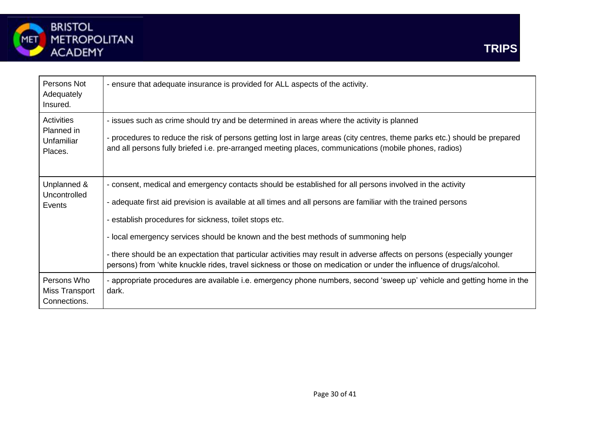

| Persons Not<br>Adequately<br>Insured.             | - ensure that adequate insurance is provided for ALL aspects of the activity.                                                                                                                                                                                                                                                                                                                                                                                                                                                                                                                                                |
|---------------------------------------------------|------------------------------------------------------------------------------------------------------------------------------------------------------------------------------------------------------------------------------------------------------------------------------------------------------------------------------------------------------------------------------------------------------------------------------------------------------------------------------------------------------------------------------------------------------------------------------------------------------------------------------|
| Activities<br>Planned in<br>Unfamiliar<br>Places. | - issues such as crime should try and be determined in areas where the activity is planned<br>- procedures to reduce the risk of persons getting lost in large areas (city centres, theme parks etc.) should be prepared<br>and all persons fully briefed i.e. pre-arranged meeting places, communications (mobile phones, radios)                                                                                                                                                                                                                                                                                           |
| Unplanned &<br>Uncontrolled<br>Events             | - consent, medical and emergency contacts should be established for all persons involved in the activity<br>- adequate first aid prevision is available at all times and all persons are familiar with the trained persons<br>- establish procedures for sickness, toilet stops etc.<br>- local emergency services should be known and the best methods of summoning help<br>- there should be an expectation that particular activities may result in adverse affects on persons (especially younger<br>persons) from 'white knuckle rides, travel sickness or those on medication or under the influence of drugs/alcohol. |
| Persons Who<br>Miss Transport<br>Connections.     | - appropriate procedures are available i.e. emergency phone numbers, second 'sweep up' vehicle and getting home in the<br>dark.                                                                                                                                                                                                                                                                                                                                                                                                                                                                                              |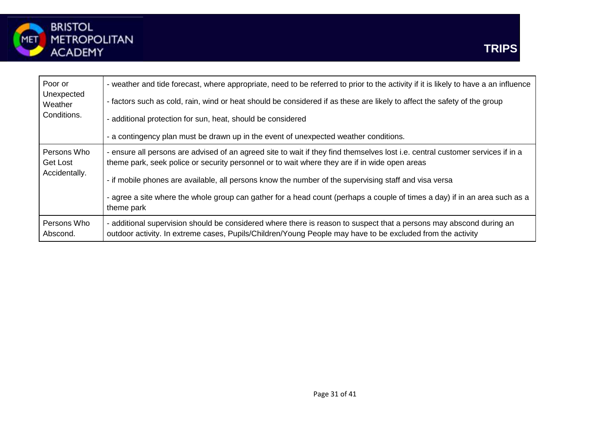

| Poor or                                  | - weather and tide forecast, where appropriate, need to be referred to prior to the activity if it is likely to have a an influence                                                                                                                                                                                                                                                                                                                                                  |
|------------------------------------------|--------------------------------------------------------------------------------------------------------------------------------------------------------------------------------------------------------------------------------------------------------------------------------------------------------------------------------------------------------------------------------------------------------------------------------------------------------------------------------------|
| Unexpected                               | - factors such as cold, rain, wind or heat should be considered if as these are likely to affect the safety of the group                                                                                                                                                                                                                                                                                                                                                             |
| Weather                                  | - additional protection for sun, heat, should be considered                                                                                                                                                                                                                                                                                                                                                                                                                          |
| Conditions.                              | - a contingency plan must be drawn up in the event of unexpected weather conditions.                                                                                                                                                                                                                                                                                                                                                                                                 |
| Persons Who<br>Get Lost<br>Accidentally. | - ensure all persons are advised of an agreed site to wait if they find themselves lost i.e. central customer services if in a<br>theme park, seek police or security personnel or to wait where they are if in wide open areas<br>- if mobile phones are available, all persons know the number of the supervising staff and visa versa<br>- agree a site where the whole group can gather for a head count (perhaps a couple of times a day) if in an area such as a<br>theme park |
| Persons Who                              | - additional supervision should be considered where there is reason to suspect that a persons may abscond during an                                                                                                                                                                                                                                                                                                                                                                  |
| Abscond.                                 | outdoor activity. In extreme cases, Pupils/Children/Young People may have to be excluded from the activity                                                                                                                                                                                                                                                                                                                                                                           |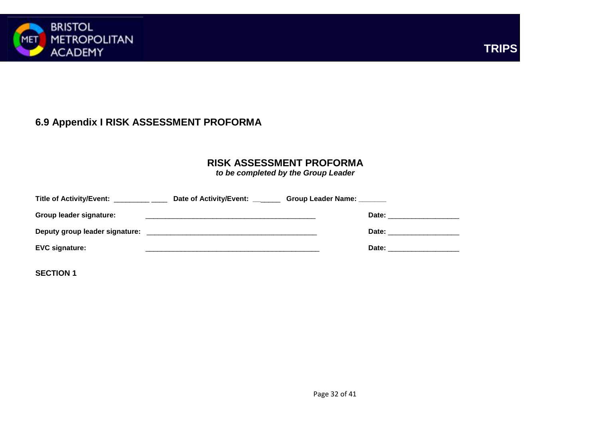

## **TRIPS**

## **6.9 Appendix I RISK ASSESSMENT PROFORMA**

#### **RISK ASSESSMENT PROFORMA**

*to be completed by the Group Leader*

| Title of Activity/Event: _     | Date of Activity/Event: | Group Leader Name: _______ |       |
|--------------------------------|-------------------------|----------------------------|-------|
| Group leader signature:        |                         |                            | Date: |
| Deputy group leader signature: |                         |                            | Date: |
| <b>EVC signature:</b>          |                         |                            | Date: |

**SECTION 1**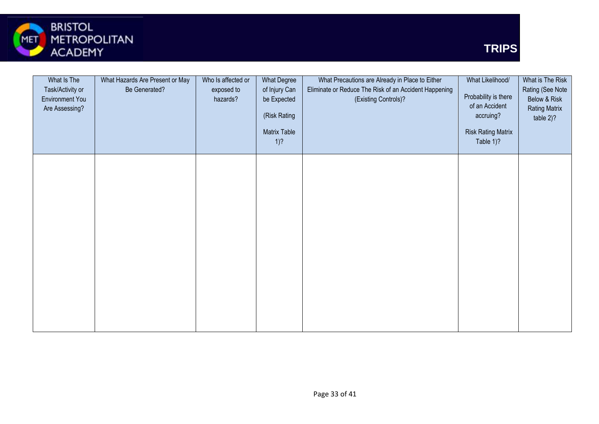

| What Is The<br>Task/Activity or<br>Environment You<br>Are Assessing? | What Hazards Are Present or May<br>Be Generated? | Who Is affected or<br>exposed to<br>hazards? | What Degree<br>of Injury Can<br>be Expected<br>(Risk Rating<br>Matrix Table<br>$1)$ ? | What Precautions are Already in Place to Either<br>Eliminate or Reduce The Risk of an Accident Happening<br>(Existing Controls)? | What Likelihood/<br>Probability is there<br>of an Accident<br>accruing?<br><b>Risk Rating Matrix</b><br>Table 1)? | What is The Risk<br>Rating (See Note<br>Below & Risk<br><b>Rating Matrix</b><br>table 2)? |
|----------------------------------------------------------------------|--------------------------------------------------|----------------------------------------------|---------------------------------------------------------------------------------------|----------------------------------------------------------------------------------------------------------------------------------|-------------------------------------------------------------------------------------------------------------------|-------------------------------------------------------------------------------------------|
|                                                                      |                                                  |                                              |                                                                                       |                                                                                                                                  |                                                                                                                   |                                                                                           |
|                                                                      |                                                  |                                              |                                                                                       |                                                                                                                                  |                                                                                                                   |                                                                                           |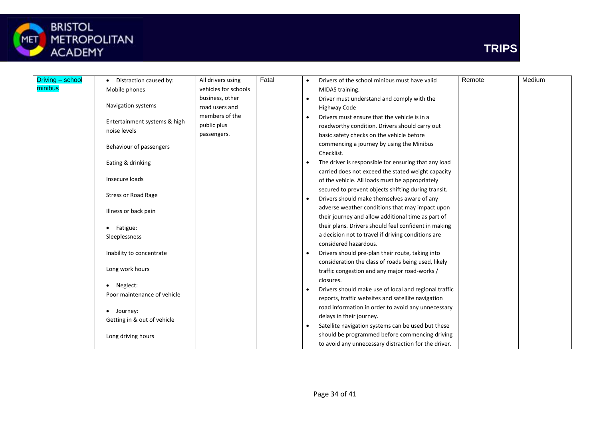

# BRISTOL<br>METROPOLITAN<br>ACADEMY



| Driving - school | Distraction caused by:       | All drivers using    | Fatal |                 | Drivers of the school minibus must have valid         | Remote | Medium |
|------------------|------------------------------|----------------------|-------|-----------------|-------------------------------------------------------|--------|--------|
| minibus          | Mobile phones                | vehicles for schools |       | MIDAS training. |                                                       |        |        |
|                  |                              | business, other      |       |                 | Driver must understand and comply with the            |        |        |
|                  | Navigation systems           | road users and       |       |                 | Highway Code                                          |        |        |
|                  |                              | members of the       |       | $\bullet$       | Drivers must ensure that the vehicle is in a          |        |        |
|                  | Entertainment systems & high | public plus          |       |                 | roadworthy condition. Drivers should carry out        |        |        |
|                  | noise levels                 | passengers.          |       |                 | basic safety checks on the vehicle before             |        |        |
|                  | Behaviour of passengers      |                      |       |                 | commencing a journey by using the Minibus             |        |        |
|                  |                              |                      |       |                 | Checklist.                                            |        |        |
|                  | Eating & drinking            |                      |       |                 | The driver is responsible for ensuring that any load  |        |        |
|                  |                              |                      |       |                 | carried does not exceed the stated weight capacity    |        |        |
|                  | Insecure loads               |                      |       |                 | of the vehicle. All loads must be appropriately       |        |        |
|                  |                              |                      |       |                 | secured to prevent objects shifting during transit.   |        |        |
|                  | <b>Stress or Road Rage</b>   |                      |       | $\bullet$       | Drivers should make themselves aware of any           |        |        |
|                  | Illness or back pain         |                      |       |                 | adverse weather conditions that may impact upon       |        |        |
|                  |                              |                      |       |                 | their journey and allow additional time as part of    |        |        |
|                  | Fatigue:                     |                      |       |                 | their plans. Drivers should feel confident in making  |        |        |
|                  | Sleeplessness                |                      |       |                 | a decision not to travel if driving conditions are    |        |        |
|                  |                              |                      |       |                 | considered hazardous.                                 |        |        |
|                  | Inability to concentrate     |                      |       | $\bullet$       | Drivers should pre-plan their route, taking into      |        |        |
|                  |                              |                      |       |                 | consideration the class of roads being used, likely   |        |        |
|                  | Long work hours              |                      |       |                 | traffic congestion and any major road-works /         |        |        |
|                  |                              |                      |       |                 | closures.                                             |        |        |
|                  | Neglect:                     |                      |       | $\bullet$       | Drivers should make use of local and regional traffic |        |        |
|                  | Poor maintenance of vehicle  |                      |       |                 | reports, traffic websites and satellite navigation    |        |        |
|                  | Journey:                     |                      |       |                 | road information in order to avoid any unnecessary    |        |        |
|                  | Getting in & out of vehicle  |                      |       |                 | delays in their journey.                              |        |        |
|                  |                              |                      |       | $\bullet$       | Satellite navigation systems can be used but these    |        |        |
|                  | Long driving hours           |                      |       |                 | should be programmed before commencing driving        |        |        |
|                  |                              |                      |       |                 | to avoid any unnecessary distraction for the driver.  |        |        |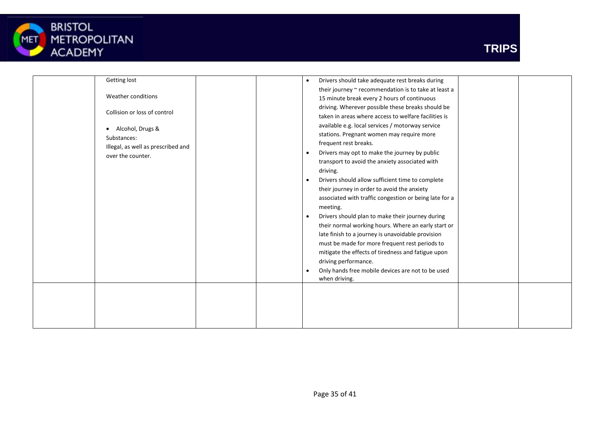

| Getting lost                       | Drivers should take adequate rest breaks during<br>$\bullet$   |
|------------------------------------|----------------------------------------------------------------|
|                                    | their journey ~ recommendation is to take at least a           |
| Weather conditions                 | 15 minute break every 2 hours of continuous                    |
| Collision or loss of control       | driving. Wherever possible these breaks should be              |
|                                    | taken in areas where access to welfare facilities is           |
| Alcohol, Drugs &                   | available e.g. local services / motorway service               |
| Substances:                        | stations. Pregnant women may require more                      |
| Illegal, as well as prescribed and | frequent rest breaks.                                          |
| over the counter.                  | Drivers may opt to make the journey by public<br>$\bullet$     |
|                                    | transport to avoid the anxiety associated with                 |
|                                    | driving.                                                       |
|                                    | Drivers should allow sufficient time to complete<br>$\bullet$  |
|                                    | their journey in order to avoid the anxiety                    |
|                                    | associated with traffic congestion or being late for a         |
|                                    | meeting.                                                       |
|                                    | Drivers should plan to make their journey during<br>$\bullet$  |
|                                    | their normal working hours. Where an early start or            |
|                                    | late finish to a journey is unavoidable provision              |
|                                    | must be made for more frequent rest periods to                 |
|                                    | mitigate the effects of tiredness and fatigue upon             |
|                                    | driving performance.                                           |
|                                    | Only hands free mobile devices are not to be used<br>$\bullet$ |
|                                    | when driving.                                                  |
|                                    |                                                                |
|                                    |                                                                |
|                                    |                                                                |
|                                    |                                                                |
|                                    |                                                                |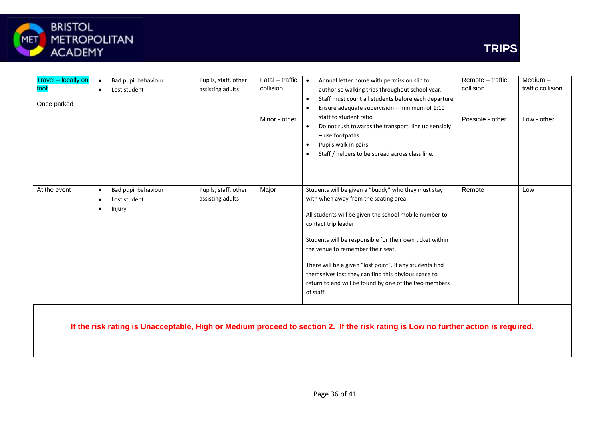

| Travel - locally on<br>foot<br>Once parked | Bad pupil behaviour<br>Lost student<br>٠                                     | Pupils, staff, other<br>assisting adults | Fatal - traffic<br>collision<br>Minor - other | Annual letter home with permission slip to<br>$\bullet$<br>authorise walking trips throughout school year.<br>Staff must count all students before each departure<br>$\bullet$<br>Ensure adequate supervision - minimum of 1:10<br>$\bullet$<br>staff to student ratio<br>Do not rush towards the transport, line up sensibly<br>$\bullet$<br>$-$ use footpaths<br>Pupils walk in pairs.<br>$\bullet$<br>Staff / helpers to be spread across class line.<br>$\bullet$   |        | Medium-<br>traffic collision<br>Low - other |
|--------------------------------------------|------------------------------------------------------------------------------|------------------------------------------|-----------------------------------------------|-------------------------------------------------------------------------------------------------------------------------------------------------------------------------------------------------------------------------------------------------------------------------------------------------------------------------------------------------------------------------------------------------------------------------------------------------------------------------|--------|---------------------------------------------|
| At the event                               | Bad pupil behaviour<br>$\bullet$<br>Lost student<br>$\bullet$<br>Injury<br>٠ | Pupils, staff, other<br>assisting adults | Major                                         | Students will be given a "buddy" who they must stay<br>with when away from the seating area.<br>All students will be given the school mobile number to<br>contact trip leader<br>Students will be responsible for their own ticket within<br>the venue to remember their seat.<br>There will be a given "lost point". If any students find<br>themselves lost they can find this obvious space to<br>return to and will be found by one of the two members<br>of staff. | Remote | Low                                         |

**If the risk rating is Unacceptable, High or Medium proceed to section 2. If the risk rating is Low no further action is required.**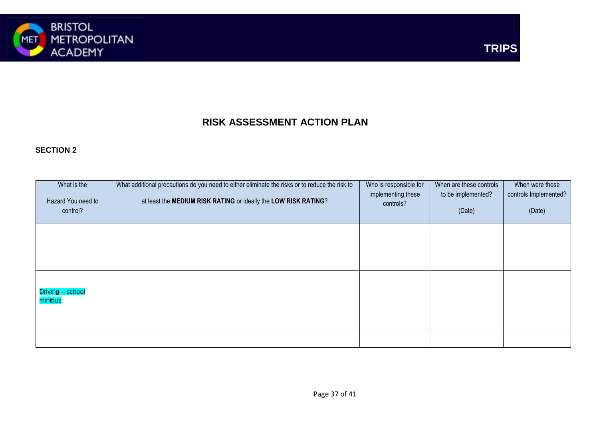



## **RISK ASSESSMENT ACTION PLAN**

#### **SECTION 2**

| What is the<br>Hazard You need to<br>control? | What additional precautions do you need to either eliminate the risks or to reduce the risk to<br>at least the MEDIUM RISK RATING or ideally the LOW RISK RATING? | Who is responsible for<br>implementing these<br>controls? | When are these controls<br>to be implemented?<br>(Date) | When were these<br>controls Implemented?<br>(Date) |
|-----------------------------------------------|-------------------------------------------------------------------------------------------------------------------------------------------------------------------|-----------------------------------------------------------|---------------------------------------------------------|----------------------------------------------------|
|                                               |                                                                                                                                                                   |                                                           |                                                         |                                                    |
| Driving - school<br>minibus                   |                                                                                                                                                                   |                                                           |                                                         |                                                    |
|                                               |                                                                                                                                                                   |                                                           |                                                         |                                                    |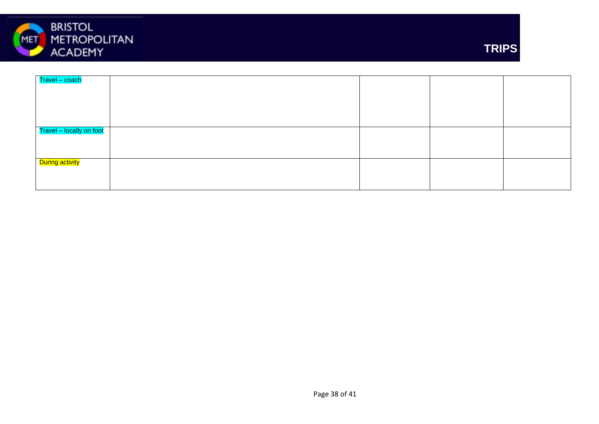



| Travel - coach           |  |  |
|--------------------------|--|--|
|                          |  |  |
|                          |  |  |
|                          |  |  |
|                          |  |  |
| Travel - locally on foot |  |  |
|                          |  |  |
|                          |  |  |
| During activity          |  |  |
|                          |  |  |
|                          |  |  |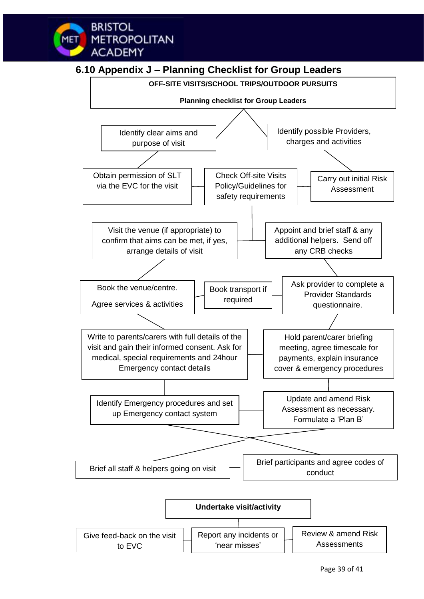## **6.10 Appendix J – Planning Checklist for Group Leaders**

**BRISTOL** 

**ACADEMY** 

**METROPOLITAN** 

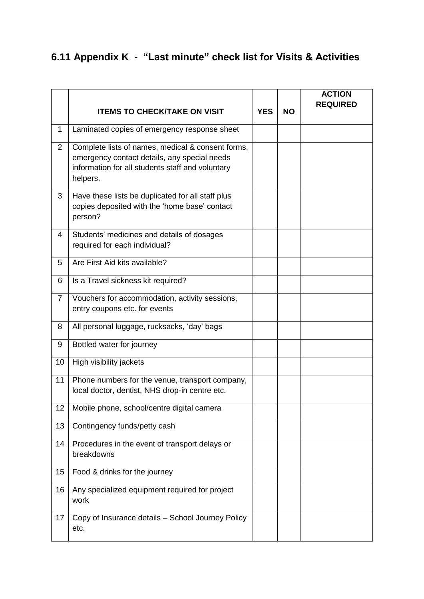## **6.11 Appendix K - "Last minute" check list for Visits & Activities**

|                |                                                                                                                                                                   |            |           | <b>ACTION</b><br><b>REQUIRED</b> |
|----------------|-------------------------------------------------------------------------------------------------------------------------------------------------------------------|------------|-----------|----------------------------------|
|                | <b>ITEMS TO CHECK/TAKE ON VISIT</b>                                                                                                                               | <b>YES</b> | <b>NO</b> |                                  |
| $\mathbf 1$    | Laminated copies of emergency response sheet                                                                                                                      |            |           |                                  |
| $\overline{2}$ | Complete lists of names, medical & consent forms,<br>emergency contact details, any special needs<br>information for all students staff and voluntary<br>helpers. |            |           |                                  |
| 3              | Have these lists be duplicated for all staff plus<br>copies deposited with the 'home base' contact<br>person?                                                     |            |           |                                  |
| $\overline{4}$ | Students' medicines and details of dosages<br>required for each individual?                                                                                       |            |           |                                  |
| 5              | Are First Aid kits available?                                                                                                                                     |            |           |                                  |
| 6              | Is a Travel sickness kit required?                                                                                                                                |            |           |                                  |
| $\overline{7}$ | Vouchers for accommodation, activity sessions,<br>entry coupons etc. for events                                                                                   |            |           |                                  |
| 8              | All personal luggage, rucksacks, 'day' bags                                                                                                                       |            |           |                                  |
| 9              | Bottled water for journey                                                                                                                                         |            |           |                                  |
| 10             | High visibility jackets                                                                                                                                           |            |           |                                  |
| 11             | Phone numbers for the venue, transport company,<br>local doctor, dentist, NHS drop-in centre etc.                                                                 |            |           |                                  |
| 12             | Mobile phone, school/centre digital camera                                                                                                                        |            |           |                                  |
| 13             | Contingency funds/petty cash                                                                                                                                      |            |           |                                  |
| 14             | Procedures in the event of transport delays or<br>breakdowns                                                                                                      |            |           |                                  |
| 15             | Food & drinks for the journey                                                                                                                                     |            |           |                                  |
| 16             | Any specialized equipment required for project<br>work                                                                                                            |            |           |                                  |
| 17             | Copy of Insurance details - School Journey Policy<br>etc.                                                                                                         |            |           |                                  |